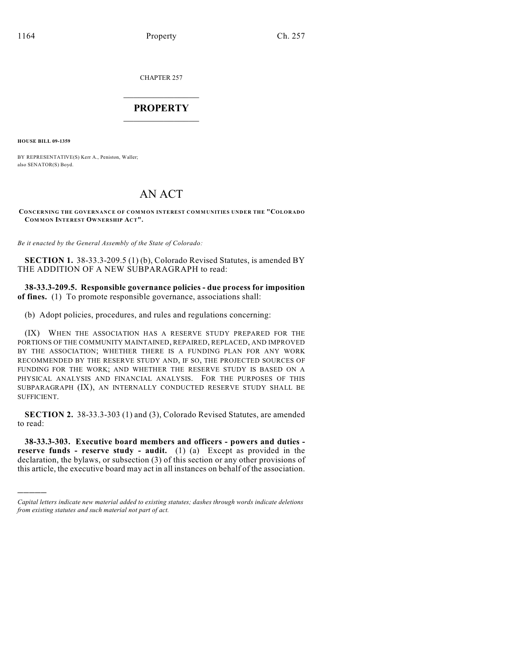CHAPTER 257

## $\mathcal{L}_\text{max}$  . The set of the set of the set of the set of the set of the set of the set of the set of the set of the set of the set of the set of the set of the set of the set of the set of the set of the set of the set **PROPERTY**  $\_$   $\_$   $\_$   $\_$   $\_$   $\_$   $\_$   $\_$   $\_$

**HOUSE BILL 09-1359**

)))))

BY REPRESENTATIVE(S) Kerr A., Peniston, Waller; also SENATOR(S) Boyd.

## AN ACT

**CONCERNING THE GOVERNANCE OF COMMON INTEREST COMMUNITIES UNDER THE "COLORADO COM MON INTEREST OWNERSHIP ACT".**

*Be it enacted by the General Assembly of the State of Colorado:*

**SECTION 1.** 38-33.3-209.5 (1) (b), Colorado Revised Statutes, is amended BY THE ADDITION OF A NEW SUBPARAGRAPH to read:

**38-33.3-209.5. Responsible governance policies - due process for imposition of fines.** (1) To promote responsible governance, associations shall:

(b) Adopt policies, procedures, and rules and regulations concerning:

(IX) WHEN THE ASSOCIATION HAS A RESERVE STUDY PREPARED FOR THE PORTIONS OF THE COMMUNITY MAINTAINED, REPAIRED, REPLACED, AND IMPROVED BY THE ASSOCIATION; WHETHER THERE IS A FUNDING PLAN FOR ANY WORK RECOMMENDED BY THE RESERVE STUDY AND, IF SO, THE PROJECTED SOURCES OF FUNDING FOR THE WORK; AND WHETHER THE RESERVE STUDY IS BASED ON A PHYSICAL ANALYSIS AND FINANCIAL ANALYSIS. FOR THE PURPOSES OF THIS SUBPARAGRAPH (IX), AN INTERNALLY CONDUCTED RESERVE STUDY SHALL BE SUFFICIENT.

**SECTION 2.** 38-33.3-303 (1) and (3), Colorado Revised Statutes, are amended to read:

**38-33.3-303. Executive board members and officers - powers and duties reserve funds - reserve study - audit.** (1) (a) Except as provided in the declaration, the bylaws, or subsection (3) of this section or any other provisions of this article, the executive board may act in all instances on behalf of the association.

*Capital letters indicate new material added to existing statutes; dashes through words indicate deletions from existing statutes and such material not part of act.*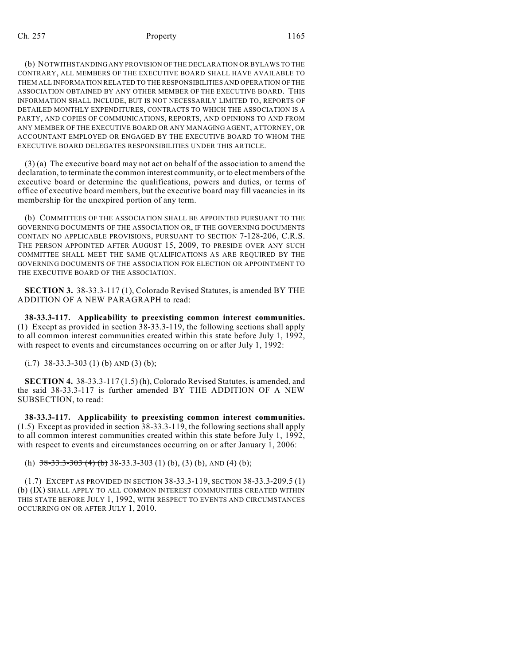## Ch. 257 **Property** 21165

(b) NOTWITHSTANDING ANY PROVISION OF THE DECLARATION OR BYLAWS TO THE CONTRARY, ALL MEMBERS OF THE EXECUTIVE BOARD SHALL HAVE AVAILABLE TO THEM ALL INFORMATION RELATED TO THE RESPONSIBILITIES AND OPERATION OF THE ASSOCIATION OBTAINED BY ANY OTHER MEMBER OF THE EXECUTIVE BOARD. THIS INFORMATION SHALL INCLUDE, BUT IS NOT NECESSARILY LIMITED TO, REPORTS OF DETAILED MONTHLY EXPENDITURES, CONTRACTS TO WHICH THE ASSOCIATION IS A PARTY, AND COPIES OF COMMUNICATIONS, REPORTS, AND OPINIONS TO AND FROM ANY MEMBER OF THE EXECUTIVE BOARD OR ANY MANAGING AGENT, ATTORNEY, OR ACCOUNTANT EMPLOYED OR ENGAGED BY THE EXECUTIVE BOARD TO WHOM THE EXECUTIVE BOARD DELEGATES RESPONSIBILITIES UNDER THIS ARTICLE.

(3) (a) The executive board may not act on behalf of the association to amend the declaration, to terminate the common interest community, or to elect members of the executive board or determine the qualifications, powers and duties, or terms of office of executive board members, but the executive board may fill vacancies in its membership for the unexpired portion of any term.

(b) COMMITTEES OF THE ASSOCIATION SHALL BE APPOINTED PURSUANT TO THE GOVERNING DOCUMENTS OF THE ASSOCIATION OR, IF THE GOVERNING DOCUMENTS CONTAIN NO APPLICABLE PROVISIONS, PURSUANT TO SECTION 7-128-206, C.R.S. THE PERSON APPOINTED AFTER AUGUST 15, 2009, TO PRESIDE OVER ANY SUCH COMMITTEE SHALL MEET THE SAME QUALIFICATIONS AS ARE REQUIRED BY THE GOVERNING DOCUMENTS OF THE ASSOCIATION FOR ELECTION OR APPOINTMENT TO THE EXECUTIVE BOARD OF THE ASSOCIATION.

**SECTION 3.** 38-33.3-117 (1), Colorado Revised Statutes, is amended BY THE ADDITION OF A NEW PARAGRAPH to read:

**38-33.3-117. Applicability to preexisting common interest communities.** (1) Except as provided in section 38-33.3-119, the following sections shall apply to all common interest communities created within this state before July 1, 1992, with respect to events and circumstances occurring on or after July 1, 1992:

 $(i.7)$  38-33.3-303 (1) (b) AND (3) (b);

**SECTION 4.** 38-33.3-117 (1.5) (h), Colorado Revised Statutes, is amended, and the said 38-33.3-117 is further amended BY THE ADDITION OF A NEW SUBSECTION, to read:

**38-33.3-117. Applicability to preexisting common interest communities.** (1.5) Except as provided in section 38-33.3-119, the following sections shall apply to all common interest communities created within this state before July 1, 1992, with respect to events and circumstances occurring on or after January 1, 2006:

(h)  $38-33.3-303$  (4) (b) 38-33.3-303 (1) (b), (3) (b), AND (4) (b);

(1.7) EXCEPT AS PROVIDED IN SECTION 38-33.3-119, SECTION 38-33.3-209.5 (1) (b) (IX) SHALL APPLY TO ALL COMMON INTEREST COMMUNITIES CREATED WITHIN THIS STATE BEFORE JULY 1, 1992, WITH RESPECT TO EVENTS AND CIRCUMSTANCES OCCURRING ON OR AFTER JULY 1, 2010.